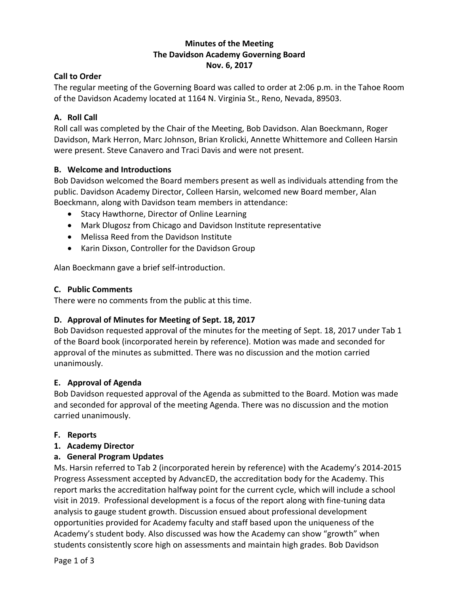## **Minutes of the Meeting The Davidson Academy Governing Board Nov. 6, 2017**

## **Call to Order**

The regular meeting of the Governing Board was called to order at 2:06 p.m. in the Tahoe Room of the Davidson Academy located at 1164 N. Virginia St., Reno, Nevada, 89503.

## **A. Roll Call**

Roll call was completed by the Chair of the Meeting, Bob Davidson. Alan Boeckmann, Roger Davidson, Mark Herron, Marc Johnson, Brian Krolicki, Annette Whittemore and Colleen Harsin were present. Steve Canavero and Traci Davis and were not present.

## **B. Welcome and Introductions**

Bob Davidson welcomed the Board members present as well as individuals attending from the public. Davidson Academy Director, Colleen Harsin, welcomed new Board member, Alan Boeckmann, along with Davidson team members in attendance:

- Stacy Hawthorne, Director of Online Learning
- Mark Dlugosz from Chicago and Davidson Institute representative
- Melissa Reed from the Davidson Institute
- Karin Dixson, Controller for the Davidson Group

Alan Boeckmann gave a brief self-introduction.

## **C. Public Comments**

There were no comments from the public at this time.

# **D. Approval of Minutes for Meeting of Sept. 18, 2017**

Bob Davidson requested approval of the minutes for the meeting of Sept. 18, 2017 under Tab 1 of the Board book (incorporated herein by reference). Motion was made and seconded for approval of the minutes as submitted. There was no discussion and the motion carried unanimously.

## **E. Approval of Agenda**

Bob Davidson requested approval of the Agenda as submitted to the Board. Motion was made and seconded for approval of the meeting Agenda. There was no discussion and the motion carried unanimously.

## **F. Reports**

## **1. Academy Director**

# **a. General Program Updates**

Ms. Harsin referred to Tab 2 (incorporated herein by reference) with the Academy's 2014-2015 Progress Assessment accepted by AdvancED, the accreditation body for the Academy. This report marks the accreditation halfway point for the current cycle, which will include a school visit in 2019. Professional development is a focus of the report along with fine-tuning data analysis to gauge student growth. Discussion ensued about professional development opportunities provided for Academy faculty and staff based upon the uniqueness of the Academy's student body. Also discussed was how the Academy can show "growth" when students consistently score high on assessments and maintain high grades. Bob Davidson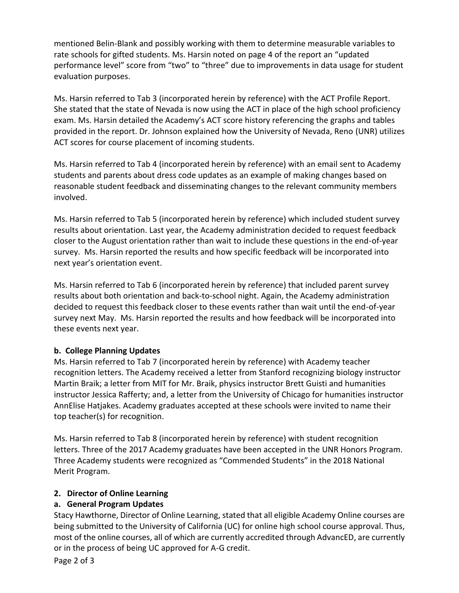mentioned Belin-Blank and possibly working with them to determine measurable variables to rate schools for gifted students. Ms. Harsin noted on page 4 of the report an "updated performance level" score from "two" to "three" due to improvements in data usage for student evaluation purposes.

Ms. Harsin referred to Tab 3 (incorporated herein by reference) with the ACT Profile Report. She stated that the state of Nevada is now using the ACT in place of the high school proficiency exam. Ms. Harsin detailed the Academy's ACT score history referencing the graphs and tables provided in the report. Dr. Johnson explained how the University of Nevada, Reno (UNR) utilizes ACT scores for course placement of incoming students.

Ms. Harsin referred to Tab 4 (incorporated herein by reference) with an email sent to Academy students and parents about dress code updates as an example of making changes based on reasonable student feedback and disseminating changes to the relevant community members involved.

Ms. Harsin referred to Tab 5 (incorporated herein by reference) which included student survey results about orientation. Last year, the Academy administration decided to request feedback closer to the August orientation rather than wait to include these questions in the end-of-year survey. Ms. Harsin reported the results and how specific feedback will be incorporated into next year's orientation event.

Ms. Harsin referred to Tab 6 (incorporated herein by reference) that included parent survey results about both orientation and back-to-school night. Again, the Academy administration decided to request this feedback closer to these events rather than wait until the end-of-year survey next May. Ms. Harsin reported the results and how feedback will be incorporated into these events next year.

## **b. College Planning Updates**

Ms. Harsin referred to Tab 7 (incorporated herein by reference) with Academy teacher recognition letters. The Academy received a letter from Stanford recognizing biology instructor Martin Braik; a letter from MIT for Mr. Braik, physics instructor Brett Guisti and humanities instructor Jessica Rafferty; and, a letter from the University of Chicago for humanities instructor AnnElise Hatjakes. Academy graduates accepted at these schools were invited to name their top teacher(s) for recognition.

Ms. Harsin referred to Tab 8 (incorporated herein by reference) with student recognition letters. Three of the 2017 Academy graduates have been accepted in the UNR Honors Program. Three Academy students were recognized as "Commended Students" in the 2018 National Merit Program.

## **2. Director of Online Learning**

# **a. General Program Updates**

Stacy Hawthorne, Director of Online Learning, stated that all eligible Academy Online courses are being submitted to the University of California (UC) for online high school course approval. Thus, most of the online courses, all of which are currently accredited through AdvancED, are currently or in the process of being UC approved for A-G credit.